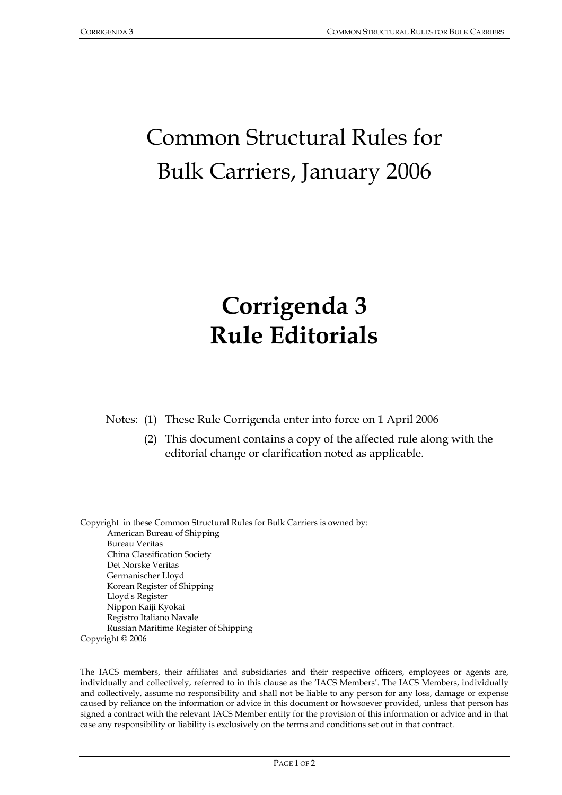# Common Structural Rules for Bulk Carriers, January 2006

## **Corrigenda 3 Rule Editorials**

Notes: (1) These Rule Corrigenda enter into force on 1 April 2006

 (2) This document contains a copy of the affected rule along with the editorial change or clarification noted as applicable.

Copyright in these Common Structural Rules for Bulk Carriers is owned by: American Bureau of Shipping Bureau Veritas China Classification Society Det Norske Veritas Germanischer Lloyd Korean Register of Shipping Lloyd's Register Nippon Kaiji Kyokai Registro Italiano Navale Russian Maritime Register of Shipping Copyright © 2006

The IACS members, their affiliates and subsidiaries and their respective officers, employees or agents are, individually and collectively, referred to in this clause as the 'IACS Members'. The IACS Members, individually and collectively, assume no responsibility and shall not be liable to any person for any loss, damage or expense caused by reliance on the information or advice in this document or howsoever provided, unless that person has signed a contract with the relevant IACS Member entity for the provision of this information or advice and in that case any responsibility or liability is exclusively on the terms and conditions set out in that contract.